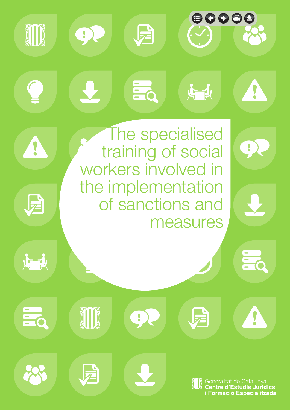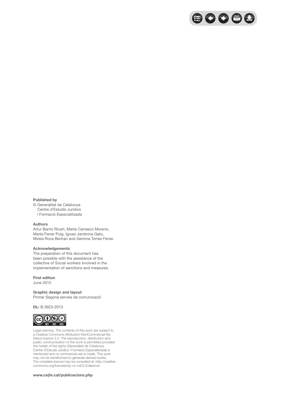

#### **Published by**

© Generalitat de Catalunya Centre d'Estudis Jurídics i Formació Especialitzada

#### **Authors**

Artur Barrio Ricart, Marta Carrasco Moreno, Marta Ferrer Puig, Ignasi Jambrina Gato, Mireia Roca Bertran and Gemma Torres Ferrer.

#### **Acknowledgements**

The preparation of this document has been possible with the assistance of the collective of Social workers involved in the implementation of sanctions and measures.

#### **First edition**

June 2012

#### **Graphic design and layout**

Primer Segona serveis de comunicació

#### **DL:** B.3923-2013



Legal warning. The contents of this work are subject to a Creative Commons Attribution-NonCommercial-No Derivs licence 3.0. The reproduction, distribution and public communication of the work is permitted provided the holder of the rights (Generalitat de Catalunya. Centre d'Estudis Jurídics i Formació Especialitzada) is mentioned and no commercial use is made. This work may not be transformed to generate derived works. The complete licence may be consulted at: http://creative commons.org/licenses/by-nc-nd/3.0/deed.en

#### **www.cejfe.cat/publicacions.php**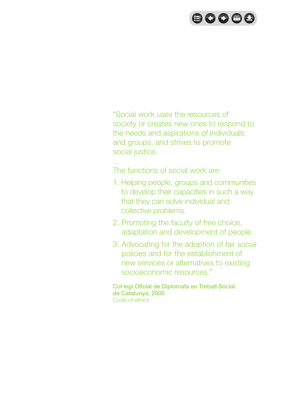# $\bigoplus$  000

"Social work uses the resources of society or creates new ones to respond to the needs and aspirations of individuals and groups, and strives to promote social justice.

... The functions of social work are:

- 1. Helping people, groups and communities to develop their capacities in such a way that they can solve individual and collective problems.
- 2. Promoting the faculty of free choice, adaptation and development of people.
- 3. Advocating for the adoption of fair social policies and for the establishment of new services or alternatives to existing socioeconomic resources."

Col·legi Oficial de Diplomats en Treball Social de Catalunya, 2000 Code of ethics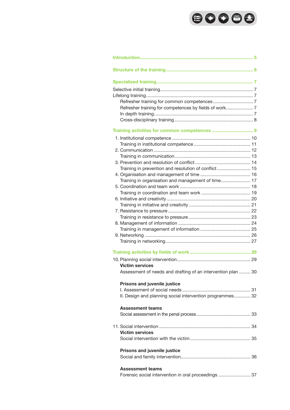# 80088

| Refresher training for competences by fields of work 7       |  |
|--------------------------------------------------------------|--|
|                                                              |  |
|                                                              |  |
|                                                              |  |
|                                                              |  |
|                                                              |  |
|                                                              |  |
|                                                              |  |
|                                                              |  |
|                                                              |  |
| Training in prevention and resolution of conflict 15         |  |
|                                                              |  |
| Training in organisation and management of time 17           |  |
|                                                              |  |
|                                                              |  |
|                                                              |  |
|                                                              |  |
|                                                              |  |
|                                                              |  |
|                                                              |  |
|                                                              |  |
|                                                              |  |
|                                                              |  |
|                                                              |  |
|                                                              |  |
| <b>Victim services</b>                                       |  |
| Assessment of needs and drafting of an intervention plan  30 |  |
|                                                              |  |
| <b>Prisons and juvenile justice</b>                          |  |
|                                                              |  |
| II. Design and planning social intervention programmes 32    |  |
| <b>Assessment teams</b>                                      |  |
|                                                              |  |
|                                                              |  |
| <b>Victim services</b>                                       |  |
|                                                              |  |
|                                                              |  |
| Prisons and juvenile justice                                 |  |
|                                                              |  |
| <b>Assessment teams</b>                                      |  |
| Forensic social intervention in oral proceedings  37         |  |
|                                                              |  |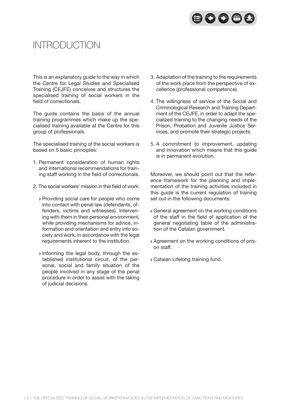

## Introduction

This is an explanatory guide to the way in which the Centre for Legal Studies and Specialised Training (CEJFE) conceives and structures the specialised training of social workers in the field of correctionals.

The guide contains the basis of the annual training programmes which make up the specialised training available at the Centre for this group of professionals.

The specialised training of the social workers is based on 5 basic principles:

- 1. Permanent consideration of human rights and international recommendations for training staff working in the field of correctionals.
- 2. The social workers' mission in this field of work:
	- Providing social care for people who come into contact with penal law (defendants, offenders, victims and witnesses). Intervening with them in their personal environment, while providing mechanisms for advice, information and orientation and entry into society and work, in accordance with the legal requirements inherent to the institution.
	- Informing the legal body, through the established institutional circuit, of the personal, social and family situation of the people involved in any stage of the penal procedure in order to assist with the taking of judicial decisions.
- 3. Adaptation of the training to the requirements of the work place from the perspective of excellence (professional competence).
- 4. The willingness of service of the Social and Criminological Research and Training Department of the CEJFE, in order to adapt the specialized training to the changing needs of the Prison, Probation and Juvenile Justice Services, and promote their strategic projects.
- 5. A commitment to improvement, updating and innovation which means that this guide is in permanent evolution.

Moreover, we should point out that the reference framework for the planning and implementation of the training activities included in this guide is the current regulation of training set out in the following documents:

- General agreement on the working conditions of the staff in the field of application of the general negotiating table of the administration of the Catalan government.
- Agreement on the working conditions of prison staff.
- Catalan Lifelong training fund.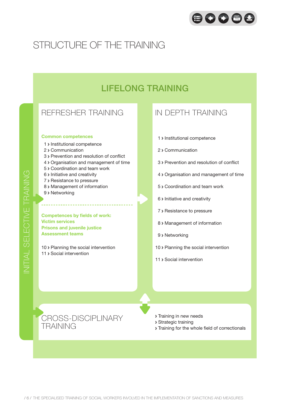

## Structure of the training

## LIFELONG TRAINING

### REFRESHER TRAINING

#### **Common competences**

- 1 > Institutional competence
- 2 > Communication
- 3 Prevention and resolution of conflict
- 4 Organisation and management of time
- 5 > Coordination and team work
- 6 > Initiative and creativity
- 7 > Resistance to pressure
- 8 > Management of information
- 9 > Networking

**Competences by fields of work: Victim services Prisons and juvenile justice Assessment teams**

10 > Planning the social intervention 11 > Social intervention

### IN DEPTH TRAINING

- 1 > Institutional competence
- 2 > Communication
- 3 Prevention and resolution of conflict
- 4 Organisation and management of time
- 5 Coordination and team work
- 6 > Initiative and creativity
- 7 > Resistance to pressure
- 8 > Management of information
- 9 > Networking
- 10 > Planning the social intervention
- 11 > Social intervention

CROSS-DISCIPLINARY TRAINING

- **> Training in new needs**
- Strategic training
- Training for the whole field of correctionals

E

TRAINING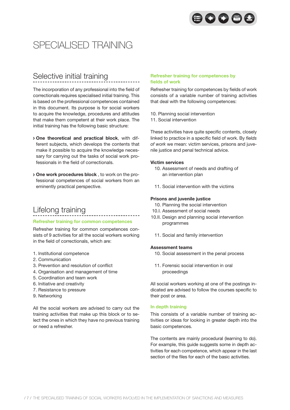

## SPECIALISED TRAINING

## Selective initial training

The incorporation of any professional into the field of correctionals requires specialised initial training. This is based on the professional competences contained in this document. Its purpose is for social workers to acquire the knowledge, procedures and attitudes that make them competent at their work place. The initial training has the following basic structure:

- **One theoretical and practical block**, with different subjects, which develops the contents that make it possible to acquire the knowledge necessary for carrying out the tasks of social work professionals in the field of correctionals.
- **One work procedures block** , to work on the professional competences of social workers from an eminently practical perspective.

### Lifelong training

#### **Refresher training for common competences**

Refresher training for common competences consists of 9 activities for all the social workers working in the field of correctionals, which are:

- 1. Institutional competence
- 2. Communication
- 3. Prevention and resolution of conflict
- 4. Organisation and management of time
- 5. Coordination and team work
- 6. Initiative and creativity
- 7. Resistance to pressure
- 9. Networking

All the social workers are advised to carry out the training activities that make up this block or to select the ones in which they have no previous training or need a refresher.

#### **Refresher training for competences by fields of work**

Refresher training for competences by fields of work consists of a variable number of training activities that deal with the following competences:

- 10. Planning social intervention
- 11. Social intervention

These activities have quite specific contents, closely linked to practice in a specific field of work. By *fields of work* we mean: victim services, prisons and juvenile justice and penal technical advice.

#### **Victim services**

- 10. Assessment of needs and drafting of an intervention plan
- 11. Social intervention with the victims

#### **Prisons and juvenile justice**

- 10. Planning the social intervention
- 10.I. Assessment of social needs
- 10.II. Design and planning social intervention programmes
	- 11. Social and family intervention

#### **Assessment teams**

- 10. Social assessment in the penal process
- 11. Forensic social intervention in oral proceedings

All social workers working at one of the postings indicated are advised to follow the courses specific to their post or area.

#### **In depth training**

This consists of a variable number of training activities or ideas for looking in greater depth into the basic competences.

The contents are mainly procedural (learning to do). For example, this guide suggests some in depth activities for each competence, which appear in the last section of the files for each of the basic activities.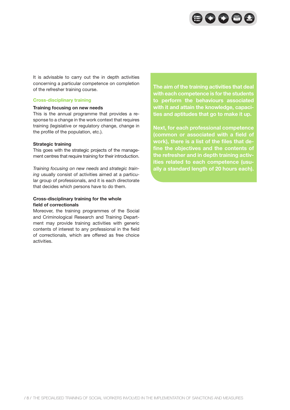

It is advisable to carry out the in depth activities concerning a particular competence on completion of the refresher training course.

#### **Cross-disciplinary training**

#### **Training focusing on new needs**

This is the annual programme that provides a response to a change in the work context that requires training (legislative or regulatory change, change in the profile of the population, etc.).

#### **Strategic training**

This goes with the strategic projects of the management centres that require training for their introduction.

*Training focusing on new needs* and *strategic training* usually consist of activities aimed at a particular group of professionals, and it is each directorate that decides which persons have to do them.

#### **Cross-disciplinary training for the whole field of correctionals**

Moreover, the training programmes of the Social and Criminological Research and Training Department may provide training activities with generic contents of interest to any professional in the field of correctionals, which are offered as free choice activities.

**The aim of the training activities that deal with each competence is for the students to perform the behaviours associated with it and attain the knowledge, capacities and aptitudes that go to make it up.**

**Next, for each professional competence (common or associated with a field of work), there is a list of the files that define the objectives and the contents of the refresher and in depth training activities related to each competence (usually a standard length of 20 hours each).**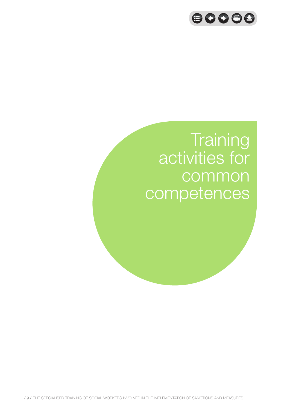

# **Training** activities for common competences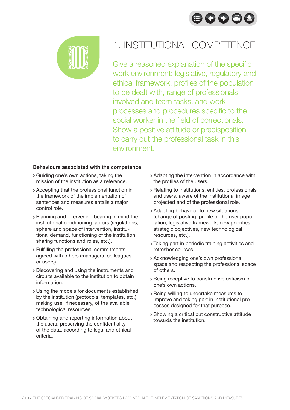



## 1. INSTITUTIONAL COMPETENCE

Give a reasoned explanation of the specific work environment: legislative, regulatory and ethical framework, profiles of the population to be dealt with, range of professionals involved and team tasks, and work processes and procedures specific to the social worker in the field of correctionals. Show a positive attitude or predisposition to carry out the professional task in this environment.

- Guiding one's own actions, taking the mission of the institution as a reference.
- Accepting that the professional function in the framework of the implementation of sentences and measures entails a major control role.
- Planning and intervening bearing in mind the institutional conditioning factors (regulations, sphere and space of intervention, institutional demand, functioning of the institution, sharing functions and roles, etc.).
- Fulfilling the professional commitments agreed with others (managers, colleagues or users).
- Discovering and using the instruments and circuits available to the institution to obtain information.
- Using the models for documents established by the institution (protocols, templates, etc.) making use, if necessary, of the available technological resources.
- Obtaining and reporting information about the users, preserving the confidentiality of the data, according to legal and ethical criteria.
- Adapting the intervention in accordance with the profiles of the users.
- Relating to institutions, entities, professionals and users, aware of the institutional image projected and of the professional role.
- Adapting behaviour to new situations (change of posting, profile of the user population, legislative framework, new priorities, strategic objectives, new technological resources, etc.).
- Taking part in periodic training activities and refresher courses.
- Acknowledging one's own professional space and respecting the professional space of others.
- Being receptive to constructive criticism of one's own actions.
- Being willing to undertake measures to improve and taking part in institutional processes designed for that purpose.
- Showing a critical but constructive attitude towards the institution.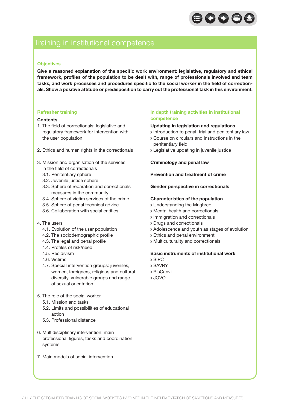

### Training in institutional competence

#### **Objectives**

**Give a reasoned explanation of the specific work environment: legislative, regulatory and ethical framework, profiles of the population to be dealt with, range of professionals involved and team tasks, and work processes and procedures specific to the social worker in the field of correctionals. Show a positive attitude or predisposition to carry out the professional task in this environment.**

#### **Refresher training**

#### **Contents**

- 1. The field of correctionals: legislative and regulatory framework for intervention with the user population
- 2. Ethics and human rights in the correctionals
- 3. Mission and organisation of the services in the field of correctionals
	- 3.1. Penitentiary sphere
	- 3.2. Juvenile justice sphere
	- 3.3. Sphere of reparation and correctionals measures in the community
	- 3.4. Sphere of victim services of the crime
	- 3.5. Sphere of penal technical advice
	- 3.6. Collaboration with social entities
- 4. The users
	- 4.1. Evolution of the user population
	- 4.2. The sociodemographic profile
	- 4.3. The legal and penal profile
	- 4.4. Profiles of risk/need
	- 4.5. Recidivism
	- 4.6. Victims
	- 4.7. Special intervention groups: juveniles, women, foreigners, religious and cultural diversity, vulnerable groups and range of sexual orientation
- 5. The role of the social worker
	- 5.1. Mission and tasks
	- 5.2. Limits and possibilities of educational action
	- 5.3. Professional distance
- 6. Multidisciplinary intervention: main professional figures, tasks and coordination systems
- 7. Main models of social intervention

#### **In depth training activities in institutional competence**

#### **Updating in legislation and regulations**

- Introduction to penal, trial and penitentiary law
- Course on circulars and instructions in the penitentiary field
- Legislative updating in juvenile justice

#### **Criminology and penal law**

#### **Prevention and treatment of crime**

#### **Gender perspective in correctionals**

#### **Characteristics of the population**

- Understanding the Maghreb
- Mental health and correctionals
- Immigration and correctionals
- Drugs and correctionals
- Adolescence and youth as stages of evolution
- Ethics and penal environment
- Multiculturality and correctionals

#### **Basic instruments of institutional work**

- SIPC
- SAVRY
- RisCanvi
- JOVO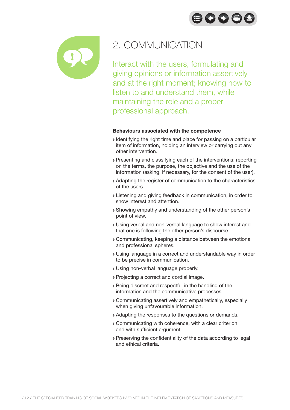$\bigoplus$   $\bigodot$   $\bigoplus$   $\bigoplus$ 



## 2. COMMUNICATION

Interact with the users, formulating and giving opinions or information assertively and at the right moment; knowing how to listen to and understand them, while maintaining the role and a proper professional approach.

- Identifying the right time and place for passing on a particular item of information, holding an interview or carrying out any other intervention.
- Presenting and classifying each of the interventions: reporting on the terms, the purpose, the objective and the use of the information (asking, if necessary, for the consent of the user).
- Adapting the register of communication to the characteristics of the users.
- Listening and giving feedback in communication, in order to show interest and attention.
- Showing empathy and understanding of the other person's point of view.
- Using verbal and non-verbal language to show interest and that one is following the other person's discourse.
- Communicating, keeping a distance between the emotional and professional spheres.
- Using language in a correct and understandable way in order to be precise in communication.
- Using non-verbal language properly.
- Projecting a correct and cordial image.
- Being discreet and respectful in the handling of the information and the communicative processes.
- Communicating assertively and empathetically, especially when giving unfavourable information.
- Adapting the responses to the questions or demands.
- Communicating with coherence, with a clear criterion and with sufficient argument.
- Preserving the confidentiality of the data according to legal and ethical criteria.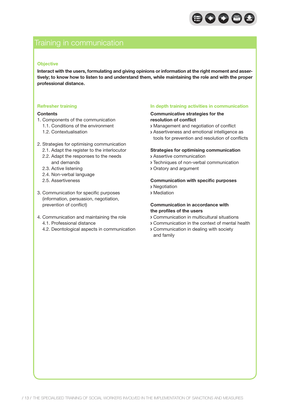

### Training in communication

#### **Objective**

**Interact with the users, formulating and giving opinions or information at the right moment and assertively; to know how to listen to and understand them, while maintaining the role and with the proper professional distance.**

#### **Refresher training**

#### **Contents**

- 1. Components of the communication
	- 1.1. Conditions of the environment
	- 1.2. Contextualisation
- 2. Strategies for optimising communication
	- 2.1. Adapt the register to the interlocutor
	- 2.2. Adapt the responses to the needs and demands
	- 2.3. Active listening
	- 2.4. Non-verbal language
	- 2.5. Assertiveness
- 3. Communication for specific purposes (information, persuasion, negotiation, prevention of conflict)
- 4. Communication and maintaining the role 4.1. Professional distance
	- 4.2. Deontological aspects in communication

#### **In depth training activities in communication**

#### **Communicative strategies for the resolution of conflict**

- Management and negotiation of conflict
- Assertiveness and emotional intelligence as tools for prevention and resolution of conflicts

#### **Strategies for optimising communication**

- Assertive communication
- Techniques of non-verbal communication
- Oratory and argument

#### **Communication with specific purposes**

- Negotiation
- Mediation

#### **Communication in accordance with the profiles of the users**

- Communication in multicultural situations
- Communication in the context of mental health
- Communication in dealing with society and family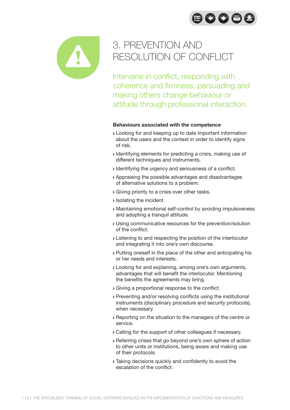



## 3. PREVENTION AND RESOLUTION OF CONFLICT

Intervene in conflict, responding with coherence and firmness, persuading and making others change behaviour or attitude through professional interaction.

- Looking for and keeping up to date important information about the users and the context in order to identify signs of risk.
- Identifying elements for predicting a crisis, making use of different techniques and instruments.
- Identifying the urgency and seriousness of a conflict.
- Appraising the possible advantages and disadvantages of alternative solutions to a problem.
- Giving priority to a crisis over other tasks.
- **>** Isolating the incident.
- Maintaining emotional self-control by avoiding impulsiveness and adopting a tranquil attitude.
- Using communicative resources for the prevention/solution of the conflict.
- Listening to and respecting the position of the interlocutor and integrating it into one's own discourse.
- Putting oneself in the place of the other and anticipating his or her needs and interests.
- Looking for and explaining, among one's own arguments, advantages that will benefit the interlocutor. Mentioning the benefits the agreements may bring.
- Giving a proportional response to the conflict.
- Preventing and/or resolving conflicts using the institutional instruments (disciplinary procedure and security protocols), when necessary.
- Reporting on the situation to the managers of the centre or service.
- Calling for the support of other colleagues if necessary.
- Referring crises that go beyond one's own sphere of action to other units or institutions, being aware and making use of their protocols.
- Taking decisions quickly and confidently to avoid the escalation of the conflict.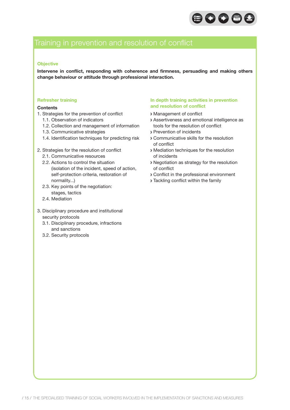

### Training in prevention and resolution of conflict

#### **Objective**

**Intervene in conflict, responding with coherence and firmness, persuading and making others change behaviour or attitude through professional interaction.**

#### **Refresher training**

#### **Contents**

- 1. Strategies for the prevention of conflict
	- 1.1. Observation of indicators
	- 1.2. Collection and management of information
	- 1.3. Communicative strategies
	- 1.4. Identification techniques for predicting risk
- 2. Strategies for the resolution of conflict
	- 2.1. Communicative resources
	- 2.2. Actions to control the situation (isolation of the incident, speed of action, self-protection criteria, restoration of normality...)
	- 2.3. Key points of the negotiation: stages, tactics
	- 2.4. Mediation
- 3. Disciplinary procedure and institutional security protocols
	- 3.1. Disciplinary procedure, infractions and sanctions
	- 3.2. Security protocols

#### **In depth training activities in prevention and resolution of conflict**

- Management of conflict
- Assertiveness and emotional intelligence as tools for the resolution of conflict
- Prevention of incidents
- Communicative skills for the resolution of conflict
- Mediation techniques for the resolution of incidents
- Negotiation as strategy for the resolution of conflict
- Conflict in the professional environment
- Tackling conflict within the family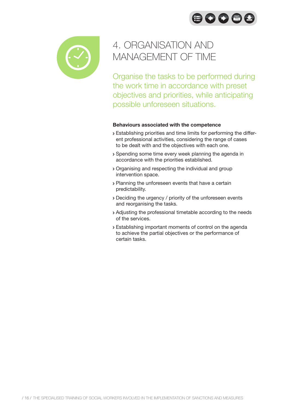$\bigoplus$  0086



## 4. ORGANISATION AND MANAGEMENT OF TIME

Organise the tasks to be performed during the work time in accordance with preset objectives and priorities, while anticipating possible unforeseen situations.

- Establishing priorities and time limits for performing the different professional activities, considering the range of cases to be dealt with and the objectives with each one.
- Spending some time every week planning the agenda in accordance with the priorities established.
- Organising and respecting the individual and group intervention space.
- > Planning the unforeseen events that have a certain predictability.
- Deciding the urgency / priority of the unforeseen events and reorganising the tasks.
- Adjusting the professional timetable according to the needs of the services.
- Establishing important moments of control on the agenda to achieve the partial objectives or the performance of certain tasks.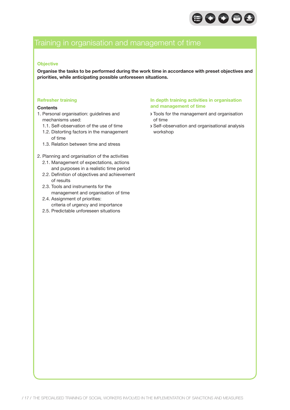

## Training in organisation and management of time

#### **Objective**

**Organise the tasks to be performed during the work time in accordance with preset objectives and priorities, while anticipating possible unforeseen situations.**

#### **Refresher training**

#### **Contents**

- 1. Personal organisation: guidelines and mechanisms used:
	- 1.1. Self-observation of the use of time
	- 1.2. Distorting factors in the management of time
	- 1.3. Relation between time and stress
- 2. Planning and organisation of the activities
	- 2.1. Management of expectations, actions and purposes in a realistic time period
	- 2.2. Definition of objectives and achievement of results
	- 2.3. Tools and instruments for the management and organisation of time
	- 2.4. Assignment of priorities: criteria of urgency and importance
	- 2.5. Predictable unforeseen situations

#### **In depth training activities in organisation and management of time**

- Tools for the management and organisation of time
- Self-observation and organisational analysis workshop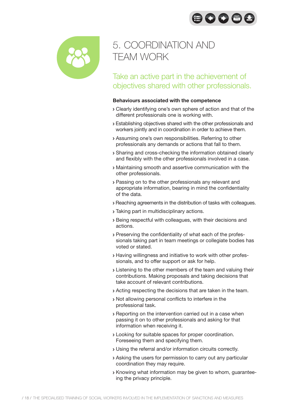$\bigoplus$   $\bigodot$   $\bigoplus$   $\bigoplus$ 



## 5. COORDINATION AND TEAM WORK

Take an active part in the achievement of objectives shared with other professionals.

- Clearly identifying one's own sphere of action and that of the different professionals one is working with.
- Establishing objectives shared with the other professionals and workers jointly and in coordination in order to achieve them.
- Assuming one's own responsibilities. Referring to other professionals any demands or actions that fall to them.
- Sharing and cross-checking the information obtained clearly and flexibly with the other professionals involved in a case.
- Maintaining smooth and assertive communication with the other professionals.
- Passing on to the other professionals any relevant and appropriate information, bearing in mind the confidentiality of the data.
- Reaching agreements in the distribution of tasks with colleagues.
- Taking part in multidisciplinary actions.
- Being respectful with colleagues, with their decisions and actions.
- Preserving the confidentiality of what each of the professionals taking part in team meetings or collegiate bodies has voted or stated.
- Having willingness and initiative to work with other professionals, and to offer support or ask for help.
- **Example 2** Listening to the other members of the team and valuing their contributions. Making proposals and taking decisions that take account of relevant contributions.
- Acting respecting the decisions that are taken in the team.
- Not allowing personal conflicts to interfere in the professional task.
- Reporting on the intervention carried out in a case when passing it on to other professionals and asking for that information when receiving it.
- Looking for suitable spaces for proper coordination. Foreseeing them and specifying them.
- Using the referral and/or information circuits correctly.
- Asking the users for permission to carry out any particular coordination they may require.
- Knowing what information may be given to whom, guaranteeing the privacy principle.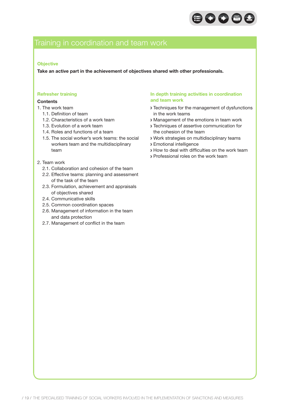

## Training in coordination and team work

#### **Objective**

**Take an active part in the achievement of objectives shared with other professionals.**

#### **Refresher training**

#### **Contents**

- 1. The work team
	- 1.1. Definition of team
	- 1.2. Characteristics of a work team
	- 1.3. Evolution of a work team
	- 1.4. Roles and functions of a team
	- 1.5. The social worker's work teams: the social workers team and the multidisciplinary team
- 2. Team work
	- 2.1. Collaboration and cohesion of the team
	- 2.2. Effective teams: planning and assessment of the task of the team
	- 2.3. Formulation, achievement and appraisals of objectives shared
	- 2.4. Communicative skills
	- 2.5. Common coordination spaces
	- 2.6. Management of information in the team and data protection
	- 2.7. Management of conflict in the team

#### **In depth training activities in coordination and team work**

- Techniques for the management of dysfunctions in the work teams
- Management of the emotions in team work
- Techniques of assertive communication for the cohesion of the team
- Work strategies on multidisciplinary teams
- Emotional intelligence
- How to deal with difficulties on the work team
- Professional roles on the work team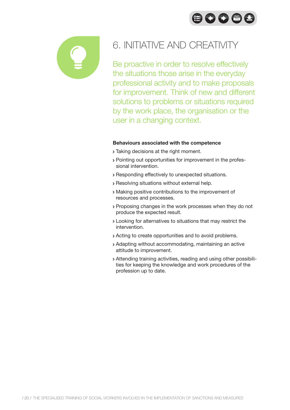



## 6. INITIATIVE AND CREATIVITY

Be proactive in order to resolve effectively the situations those arise in the everyday professional activity and to make proposals for improvement. Think of new and different solutions to problems or situations required by the work place, the organisation or the user in a changing context.

- **Taking decisions at the right moment.**
- Pointing out opportunities for improvement in the professional intervention.
- Responding effectively to unexpected situations.
- Resolving situations without external help.
- Making positive contributions to the improvement of resources and processes.
- Proposing changes in the work processes when they do not produce the expected result.
- Looking for alternatives to situations that may restrict the intervention.
- Acting to create opportunities and to avoid problems.
- Adapting without accommodating, maintaining an active attitude to improvement.
- Attending training activities, reading and using other possibilities for keeping the knowledge and work procedures of the profession up to date.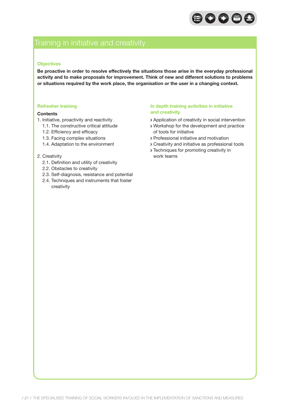

## Training in initiative and creativity

#### **Objectives**

**Be proactive in order to resolve effectively the situations those arise in the everyday professional activity and to make proposals for improvement. Think of new and different solutions to problems or situations required by the work place, the organisation or the user in a changing context.**

#### **Refresher training**

#### **Contents**

- 1. Initiative, proactivity and reactivity
	- 1.1. The constructive critical attitude
	- 1.2. Efficiency and efficacy
	- 1.3. Facing complex situations
	- 1.4. Adaptation to the environment

#### 2. Creativity

- 2.1. Definition and utility of creativity
- 2.2. Obstacles to creativity
- 2.3. Self-diagnosis, resistance and potential
- 2.4. Techniques and instruments that foster creativity

#### **In depth training activities in initiative and creativity**

- Application of creativity in social intervention
- Workshop for the development and practice of tools for initiative
- Professional initiative and motivation
- Creativity and initiative as professional tools
- Techniques for promoting creativity in work teams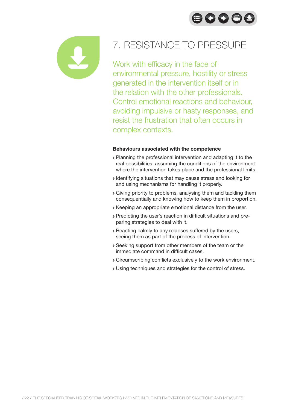



## 7. RESISTANCE TO PRESSURE

Work with efficacy in the face of environmental pressure, hostility or stress generated in the intervention itself or in the relation with the other professionals. Control emotional reactions and behaviour, avoiding impulsive or hasty responses, and resist the frustration that often occurs in complex contexts.

- Planning the professional intervention and adapting it to the real possibilities, assuming the conditions of the environment where the intervention takes place and the professional limits.
- Identifying situations that may cause stress and looking for and using mechanisms for handling it properly.
- Giving priority to problems, analysing them and tackling them consequentially and knowing how to keep them in proportion.
- Keeping an appropriate emotional distance from the user.
- Predicting the user's reaction in difficult situations and preparing strategies to deal with it.
- Reacting calmly to any relapses suffered by the users, seeing them as part of the process of intervention.
- Seeking support from other members of the team or the immediate command in difficult cases.
- Circumscribing conflicts exclusively to the work environment.
- Using techniques and strategies for the control of stress.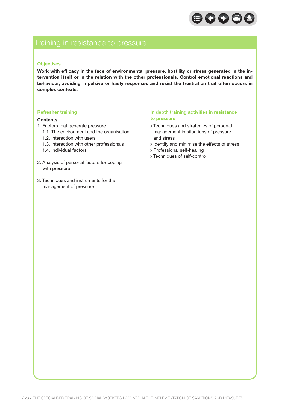

### Training in resistance to pressure

#### **Objectives**

**Work with efficacy in the face of environmental pressure, hostility or stress generated in the intervention itself or in the relation with the other professionals. Control emotional reactions and behaviour, avoiding impulsive or hasty responses and resist the frustration that often occurs in complex contexts.**

#### **Refresher training**

#### **Contents**

- 1. Factors that generate pressure
	- 1.1. The environment and the organisation
	- 1.2. Interaction with users
	- 1.3. Interaction with other professionals
	- 1.4. Individual factors
- 2. Analysis of personal factors for coping with pressure
- 3. Techniques and instruments for the management of pressure

#### **In depth training activities in resistance to pressure**

- > Techniques and strategies of personal management in situations of pressure and stress
- I dentify and minimise the effects of stress
- Professional self-healing
- Techniques of self-control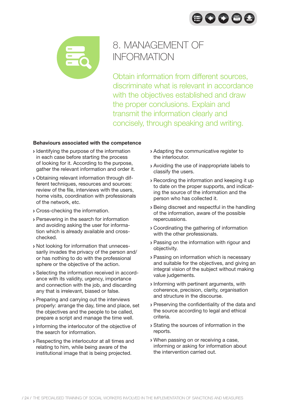80086



## 8. MANAGEMENT OF **INFORMATION**

Obtain information from different sources, discriminate what is relevant in accordance with the objectives established and draw the proper conclusions. Explain and transmit the information clearly and concisely, through speaking and writing.

- **Identifying the purpose of the information** in each case before starting the process of looking for it. According to the purpose, gather the relevant information and order it.
- Obtaining relevant information through different techniques, resources and sources: review of the file, interviews with the users, home visits, coordination with professionals of the network, etc.
- Cross-checking the information.
- Persevering in the search for information and avoiding asking the user for information which is already available and crosschecked.
- Not looking for information that unnecessarily invades the privacy of the person and/ or has nothing to do with the professional sphere or the objective of the action.
- Selecting the information received in accordance with its validity, urgency, importance and connection with the job, and discarding any that is irrelevant, biased or false.
- Preparing and carrying out the interviews properly: arrange the day, time and place, set the objectives and the people to be called, prepare a script and manage the time well.
- Informing the interlocutor of the objective of the search for information.
- Respecting the interlocutor at all times and relating to him, while being aware of the institutional image that is being projected.
- Adapting the communicative register to the interlocutor.
- Avoiding the use of inappropriate labels to classify the users.
- Recording the information and keeping it up to date on the proper supports, and indicating the source of the information and the person who has collected it.
- Being discreet and respectful in the handling of the information, aware of the possible repercussions.
- Coordinating the gathering of information with the other professionals.
- Passing on the information with rigour and objectivity.
- Passing on information which is necessary and suitable for the objectives, and giving an integral vision of the subject without making value judgements.
- Informing with pertinent arguments, with coherence, precision, clarity, organisation and structure in the discourse.
- Preserving the confidentiality of the data and the source according to legal and ethical criteria.
- Stating the sources of information in the reports.
- When passing on or receiving a case, informing or asking for information about the intervention carried out.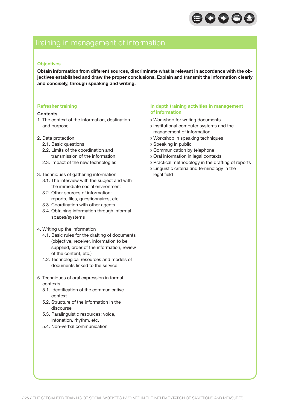

### Training in management of information

#### **Objectives**

**Obtain information from different sources, discriminate what is relevant in accordance with the objectives established and draw the proper conclusions. Explain and transmit the information clearly and concisely, through speaking and writing.**

#### **Refresher training**

#### **Contents**

- 1. The context of the information, destination and purpose
- 2. Data protection
	- 2.1. Basic questions
	- 2.2. Limits of the coordination and transmission of the information
	- 2.3. Impact of the new technologies
- 3. Techniques of gathering information
	- 3.1. The interview with the subject and with the immediate social environment
	- 3.2. Other sources of information: reports, files, questionnaires, etc.
	- 3.3. Coordination with other agents
	- 3.4. Obtaining information through informal spaces/systems
- 4. Writing up the information
	- 4.1. Basic rules for the drafting of documents (objective, receiver, information to be supplied, order of the information, review of the content, etc.)
	- 4.2. Technological resources and models of documents linked to the service
- 5. Techniques of oral expression in formal contexts
	- 5.1. Identification of the communicative context
	- 5.2. Structure of the information in the discourse
	- 5.3. Paralinguistic resources: voice, intonation, rhythm, etc.
	- 5.4. Non-verbal communication

#### **In depth training activities in management of information**

- Workshop for writing documents
- Institutional computer systems and the management of information
- Workshop in speaking techniques
- Speaking in public
- Communication by telephone
- Oral information in legal contexts
- Practical methodology in the drafting of reports
- Linguistic criteria and terminology in the legal field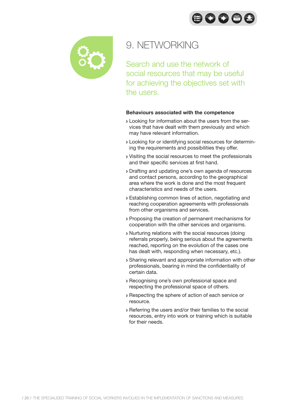$\bigoplus$   $\bigodot$   $\bigoplus$   $\bigoplus$ 



## 9. NETWORKING

Search and use the network of social resources that may be useful for achieving the objectives set with the users.

- Looking for information about the users from the services that have dealt with them previously and which may have relevant information.
- Looking for or identifying social resources for determining the requirements and possibilities they offer.
- Visiting the social resources to meet the professionals and their specific services at first hand.
- Drafting and updating one's own agenda of resources and contact persons, according to the geographical area where the work is done and the most frequent characteristics and needs of the users.
- Establishing common lines of action, negotiating and reaching cooperation agreements with professionals from other organisms and services.
- Proposing the creation of permanent mechanisms for cooperation with the other services and organisms.
- Nurturing relations with the social resources (doing referrals properly, being serious about the agreements reached, reporting on the evolution of the cases one has dealt with, responding when necessary, etc.).
- Sharing relevant and appropriate information with other professionals, bearing in mind the confidentiality of certain data.
- Recognising one's own professional space and respecting the professional space of others.
- Respecting the sphere of action of each service or resource.
- Referring the users and/or their families to the social resources, entry into work or training which is suitable for their needs.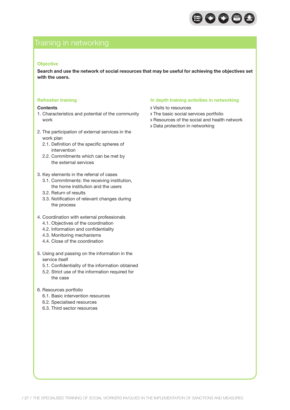

## Training in networking

#### **Objective**

**Search and use the network of social resources that may be useful for achieving the objectives set with the users.**

#### **Refresher training**

#### **Contents**

- 1. Characteristics and potential of the community work
- 2. The participation of external services in the work plan
	- 2.1. Definition of the specific spheres of intervention
	- 2.2. Commitments which can be met by the external services
- 3. Key elements in the referral of cases
	- 3.1. Commitments: the receiving institution, the home institution and the users
	- 3.2. Return of results
	- 3.3. Notification of relevant changes during the process
- 4. Coordination with external professionals
	- 4.1. Objectives of the coordination
	- 4.2. Information and confidentiality
	- 4.3. Monitoring mechanisms
	- 4.4. Close of the coordination
- 5. Using and passing on the information in the service itself
	- 5.1. Confidentiality of the information obtained
	- 5.2. Strict use of the information required for the case
- 6. Resources portfolio
	- 6.1. Basic intervention resources
	- 6.2. Specialised resources
	- 6.3. Third sector resources

#### **In depth training activities in networking**

- Visits to resources
- The basic social services portfolio
- Resources of the social and health network
- Data protection in networking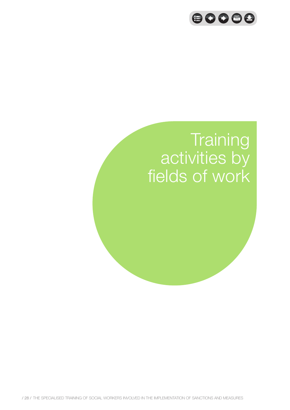

# **Training** activities by fields of work

/ 28 / The specialised training of social workers involved in the implementation of sanctions and measures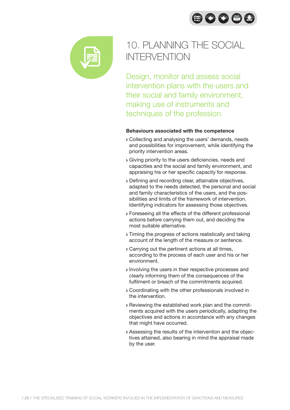80086



## 10. PLANNING THE SOCIAL INTERVENTION

Design, monitor and assess social intervention plans with the users and their social and family environment, making use of instruments and techniques of the profession.

- Collecting and analysing the users' demands, needs and possibilities for improvement, while identifying the priority intervention areas.
- Giving priority to the users deficiencies, needs and capacities and the social and family environment, and appraising his or her specific capacity for response.
- Defining and recording clear, attainable objectives, adapted to the needs detected, the personal and social and family characteristics of the users, and the possibilities and limits of the framework of intervention. Identifying indicators for assessing those objectives.
- Foreseeing all the effects of the different professional actions before carrying them out, and deciding the most suitable alternative.
- Timing the progress of actions realistically and taking account of the length of the measure or sentence.
- Carrying out the pertinent actions at all times, according to the process of each user and his or her environment.
- Involving the users in their respective processes and clearly informing them of the consequences of the fulfilment or breach of the commitments acquired.
- Coordinating with the other professionals involved in the intervention.
- Reviewing the established work plan and the commitments acquired with the users periodically, adapting the objectives and actions in accordance with any changes that might have occurred.
- Assessing the results of the intervention and the objectives attained, also bearing in mind the appraisal made by the user.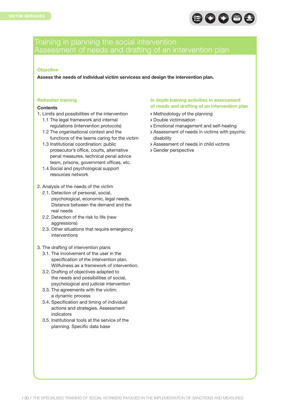

### Training in planning the social intervention Assessment of needs and drafting of an intervention plan

#### **Objective**

**Assess the needs of individual victim servicess and design the intervention plan.**

#### **Refresher training**

#### **Contents**

- 1. Limits and possibilities of the intervention
	- 1.1 The legal framework and internal regulations (intervention protocols)
	- 1.2 The organisational context and the functions of the teams caring for the victim
	- 1.3 Institutional coordination: public prosecutor's office, courts, alternative penal measures, technical penal advice team, prisons, government offices, etc.
	- 1.4 Social and psychological support resources network
- 2. Analysis of the needs of the victim
	- 2.1. Detection of personal, social, psychological, economic, legal needs. Distance between the demand and the real needs
	- 2.2. Detection of the risk to life (new aggressions)
	- 2.3. Other situations that require emergency interventions
- 3. The drafting of intervention plans
	- 3.1. The involvement of the user in the specification of the intervention plan. Willfulness as a framework of intervention.
	- 3.2. Drafting of objectives adapted to the needs and possibilities of social, psychological and judicial intervention
	- 3.3. The agreements with the victim: a dynamic process
	- 3.4. Specification and timing of individual actions and strategies. Assessment indicators
	- 3.5. Institutional tools at the service of the planning. Specific data base

#### **In depth training activities in assessment of needs and drafting of an intervention plan**

- Methodology of the planning
- Double victimisation
- Emotional management and self-healing
- Assessment of needs in victims with psychic disability
- Assessment of needs in child victims
- Gender perspective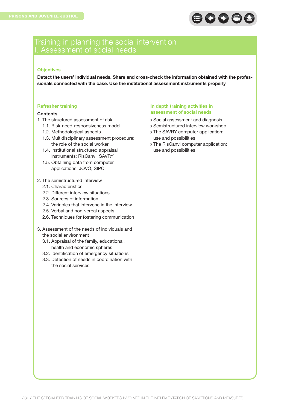

### Training in planning the social intervention I. Assessment of social needs

#### **Objectives**

**Detect the users' individual needs. Share and cross-check the information obtained with the professionals connected with the case. Use the institutional assessment instruments properly**

#### **Refresher training**

#### **Contents**

- 1. The structured assessment of risk
	- 1.1. Risk-need-responsiveness model
	- 1.2. Methodological aspects
	- 1.3. Multidisciplinary assessment procedure: the role of the social worker
	- 1.4. Institutional structured appraisal instruments: RisCanvi, SAVRY
	- 1.5. Obtaining data from computer applications: JOVO, SIPC
- 2. The semistructured interview
	- 2.1. Characteristics
	- 2.2. Different interview situations
	- 2.3. Sources of information
	- 2.4. Variables that intervene in the interview
	- 2.5. Verbal and non-verbal aspects
	- 2.6. Techniques for fostering communication
- 3. Assessment of the needs of individuals and the social environment
	- 3.1. Appraisal of the family, educational, health and economic spheres
	- 3.2. Identification of emergency situations
	- 3.3. Detection of needs in coordination with the social services

#### **In depth training activities in assessment of social needs**

- Social assessment and diagnosis
- Semistructured interview workshop
- The SAVRY computer application: use and possibilities
- The RisCanvi computer application: use and possibilities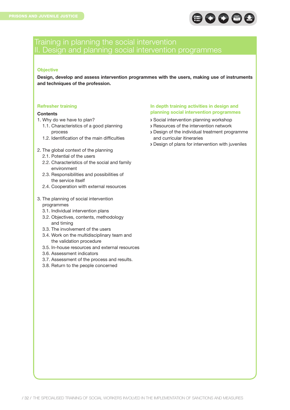

### Training in planning the social intervention II. Design and planning social intervention programmes

#### **Objective**

**Design, develop and assess intervention programmes with the users, making use of instruments and techniques of the profession.**

#### **Refresher training**

#### **Contents**

- 1. Why do we have to plan?
	- 1.1. Characteristics of a good planning process
	- 1.2. Identification of the main difficulties
- 2. The global context of the planning
	- 2.1. Potential of the users
	- 2.2. Characteristics of the social and family environment
	- 2.3. Responsibilities and possibilities of the service itself
	- 2.4. Cooperation with external resources
- 3. The planning of social intervention programmes
	- 3.1. Individual intervention plans
	- 3.2. Objectives, contents, methodology and timing
	- 3.3. The involvement of the users
	- 3.4. Work on the multidisciplinary team and the validation procedure
	- 3.5. In-house resources and external resources
	- 3.6. Assessment indicators
	- 3.7. Assessment of the process and results.
	- 3.8. Return to the people concerned

#### **In depth training activities in design and planning social intervention programmes**

- Social intervention planning workshop
- Resources of the intervention network
- Design of the individual treatment programme and curricular itineraries
- Design of plans for intervention with juveniles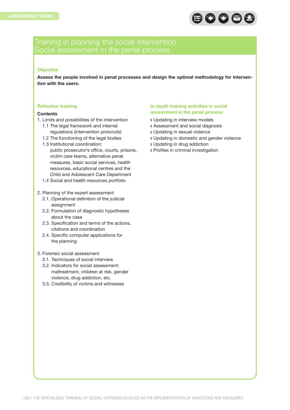

### Training in planning the social intervention Social assessment in the penal process

#### **Objective**

**Assess the people involved in penal processes and design the optimal methodology for intervention with the users.**

#### **Refresher training**

#### **Contents**

- 1. Limits and possibilities of the intervention
	- 1.1 The legal framework and internal regulations (intervention protocols)
	- 1.2 The functioning of the legal bodies
	- 1.3 Institutional coordination: public prosecutor's office, courts, prisons, victim care teams, alternative penal measures, basic social services, health resources, educational centres and the Child and Adolescent Care Department
	- 1.4 Social and health resources portfolio

#### 2. Planning of the expert assessment

- 2.1. Operational definition of the judicial assignment
- 2.2. Formulation of diagnostic hypotheses about the case
- 2.3. Specification and terms of the actions, citations and coordination
- 2.4. Specific computer applications for the planning

#### 3. Forensic social assessment

- 3.1. Techniques of social interview
- 3.2. Indicators for social assessment: maltreatment, children at risk, gender violence, drug addiction, etc.
- 3.3. Credibility of victims and witnesses

#### **In depth training activities in social assessment in the penal process**

- Updating in interview models
- Assessment and social diagnosis
- Updating in sexual violence
- Updating in domestic and gender violence
- Updating in drug addiction
- Profiles in criminal investigation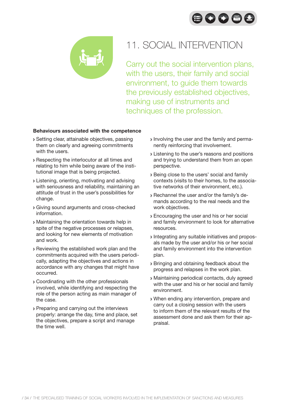



## 11. SOCIAL INTERVENTION

Carry out the social intervention plans, with the users, their family and social environment, to guide them towards the previously established objectives, making use of instruments and techniques of the profession.

- Setting clear, attainable objectives, passing them on clearly and agreeing commitments with the users.
- Respecting the interlocutor at all times and relating to him while being aware of the institutional image that is being projected.
- Listening, orienting, motivating and advising with seriousness and reliability, maintaining an attitude of trust in the user's possibilities for change.
- Giving sound arguments and cross-checked information.
- Maintaining the orientation towards help in spite of the negative processes or relapses, and looking for new elements of motivation and work.
- Reviewing the established work plan and the commitments acquired with the users periodically, adapting the objectives and actions in accordance with any changes that might have occurred.
- Coordinating with the other professionals involved, while identifying and respecting the role of the person acting as main manager of the case.
- Preparing and carrying out the interviews properly: arrange the day, time and place, set the objectives, prepare a script and manage the time well.
- Involving the user and the family and permanently reinforcing that involvement.
- **Listening to the user's reasons and positions** and trying to understand them from an open perspective.
- Being close to the users' social and family contexts (visits to their homes, to the associative networks of their environment, etc.).
- Rechannel the user and/or the family's demands according to the real needs and the work objectives.
- Encouraging the user and his or her social and family environment to look for alternative resources.
- Integrating any suitable initiatives and proposals made by the user and/or his or her social and family environment into the intervention plan.
- Bringing and obtaining feedback about the progress and relapses in the work plan.
- Maintaining periodical contacts, duly agreed with the user and his or her social and family environment.
- When ending any intervention, prepare and carry out a closing session with the users to inform them of the relevant results of the assessment done and ask them for their appraisal.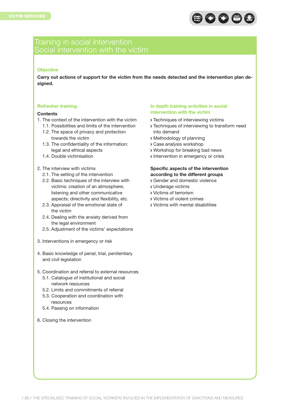

### Training in social intervention Social intervention with the victim

#### **Objective**

**Carry out actions of support for the victim from the needs detected and the intervention plan designed.**

#### **Refresher training**

#### **Contents**

- 1. The context of the intervention with the victim
	- 1.1. Possibilities and limits of the intervention 1.2. The space of privacy and protection towards the victim
	- 1.3. The confidentiality of the information: legal and ethical aspects
	- 1.4. Double victimisation
- 2. The interview with victims
	- 2.1. The setting of the intervention
	- 2.2. Basic techniques of the interview with victims: creation of an atmosphere; listening and other communicative aspects; directivity and flexibility, etc.
	- 2.3. Appraisal of the emotional state of the victim
	- 2.4. Dealing with the anxiety derived from the legal environment
	- 2.5. Adjustment of the victims' expectations
- 3. Interventions in emergency or risk
- 4. Basic knowledge of penal, trial, penitentiary and civil legislation
- 5. Coordination and referral to external resources
	- 5.1. Catalogue of institutional and social network resources
	- 5.2. Limits and commitments of referral
	- 5.3. Cooperation and coordination with resources
	- 5.4. Passing on information
- 6. Closing the intervention

#### **In depth training activities in social intervention with the victim**

- Techniques of interviewing victims
- **> Techniques of interviewing to transform need** into demand
- Methodology of planning
- Case analysis workshop
- Workshop for breaking bad news
- **Intervention in emergency or crisis**

#### **Specific aspects of the intervention according to the different groups**

- Gender and domestic violence
- Underage victims
- Victims of terrorism
- Victims of violent crimes
- Victims with mental disabilities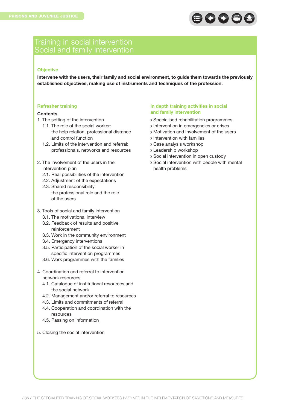

### Training in social intervention Social and family intervention

#### **Objective**

**Intervene with the users, their family and social environment, to guide them towards the previously established objectives, making use of instruments and techniques of the profession.**

#### **Refresher training**

#### **Contents**

- 1. The setting of the intervention
	- 1.1. The role of the social worker: the help relation, professional distance and control function
	- 1.2. Limits of the intervention and referral: professionals, networks and resources
- 2. The involvement of the users in the intervention plan
	- 2.1. Real possibilities of the intervention
	- 2.2. Adjustment of the expectations
	- 2.3. Shared responsibility: the professional role and the role of the users
- 3. Tools of social and family intervention
	- 3.1. The motivational interview
	- 3.2. Feedback of results and positive reinforcement
	- 3.3. Work in the community environment
	- 3.4. Emergency interventions
	- 3.5. Participation of the social worker in specific intervention programmes
	- 3.6. Work programmes with the families
- 4. Coordination and referral to intervention network resources
	- 4.1. Catalogue of institutional resources and the social network
	- 4.2. Management and/or referral to resources
	- 4.3. Limits and commitments of referral
	- 4.4. Cooperation and coordination with the resources
	- 4.5. Passing on information
- 5. Closing the social intervention

#### **In depth training activities in social and family intervention**

- Specialised rehabilitation programmes
- **Intervention in emergencies or crises**
- Motivation and involvement of the users
- **Intervention with families**
- Case analysis workshop
- Leadership workshop
- Social intervention in open custody
- Social intervention with people with mental health problems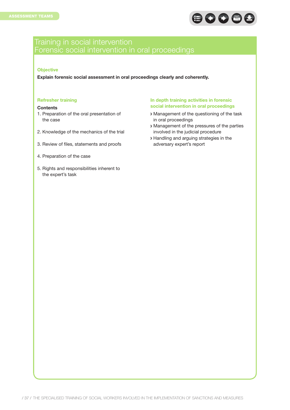

# Forensic social intervention in oral proceedings

#### **Objective**

**Explain forensic social assessment in oral proceedings clearly and coherently.**

#### **Refresher training**

#### **Contents**

- 1. Preparation of the oral presentation of the case
- 2. Knowledge of the mechanics of the trial
- 3. Review of files, statements and proofs
- 4. Preparation of the case
- 5. Rights and responsibilities inherent to the expert's task

#### **In depth training activities in forensic social intervention in oral proceedings**

- Management of the questioning of the task in oral proceedings
- Management of the pressures of the parties involved in the judicial procedure
- Handling and arguing strategies in the adversary expert's report